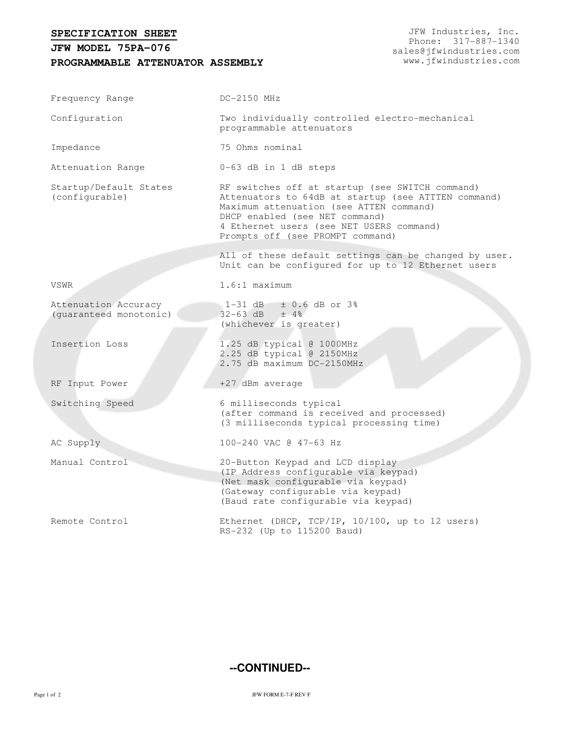## **SPECIFICATION SHEET**

## **PROGRAMMABLE ATTENUATOR ASSEMBLY JFW MODEL 75PA-076**

JFW Industries, Inc. Phone: 317-887-1340 sales@jfwindustries.com www.jfwindustries.com

| Frequency Range                                | DC-2150 MHz                                                                                                                                                                                                                                                         |
|------------------------------------------------|---------------------------------------------------------------------------------------------------------------------------------------------------------------------------------------------------------------------------------------------------------------------|
| Configuration                                  | Two individually controlled electro-mechanical<br>programmable attenuators                                                                                                                                                                                          |
| Impedance                                      | 75 Ohms nominal                                                                                                                                                                                                                                                     |
| Attenuation Range                              | 0-63 dB in 1 dB steps                                                                                                                                                                                                                                               |
| Startup/Default States<br>(configurable)       | RF switches off at startup (see SWITCH command)<br>Attenuators to 64dB at startup (see ATTTEN command)<br>Maximum attenuation (see ATTEN command)<br>DHCP enabled (see NET command)<br>4 Ethernet users (see NET USERS command)<br>Prompts off (see PROMPT command) |
|                                                | All of these default settings can be changed by user.<br>Unit can be configured for up to 12 Ethernet users                                                                                                                                                         |
| VSWR                                           | $1.6:1$ maximum                                                                                                                                                                                                                                                     |
| Attenuation Accuracy<br>(guaranteed monotonic) | $1-31$ dB $\pm$ 0.6 dB or 3%<br>$32 - 63$ dB $\pm$ 4%<br>(whichever is greater)                                                                                                                                                                                     |
| Insertion Loss                                 | 1.25 dB typical @ 1000MHz<br>2.25 dB typical @ 2150MHz<br>2.75 dB maximum DC-2150MHz                                                                                                                                                                                |
| RF Input Power                                 | +27 dBm average                                                                                                                                                                                                                                                     |
| Switching Speed                                | 6 milliseconds typical<br>(after command is received and processed)<br>(3 milliseconds typical processing time)                                                                                                                                                     |
| AC Supply                                      | 100-240 VAC @ 47-63 Hz                                                                                                                                                                                                                                              |
| Manual Control                                 | 20-Button Keypad and LCD display<br>(IP Address configurable via keypad)<br>(Net mask configurable via keypad)<br>(Gateway configurable via keypad)<br>(Baud rate configurable via keypad)                                                                          |
| Remote Control                                 | Ethernet (DHCP, TCP/IP, 10/100, up to 12 users)<br>RS-232 (Up to 115200 Baud)                                                                                                                                                                                       |

## **--CONTINUED--**